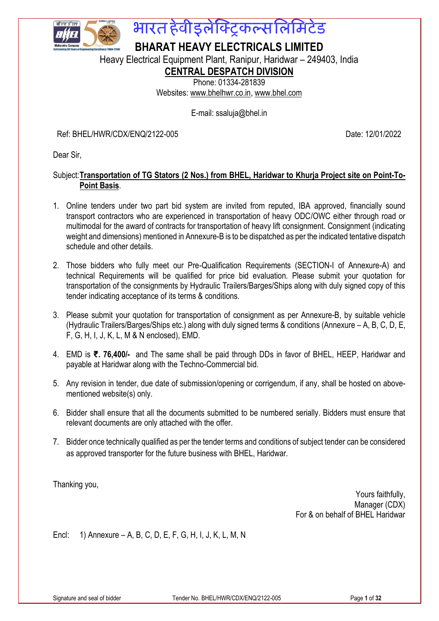

# भारत हेवीडुलेक्ट्रिकल्सलिमिटेड

**BHARAT HEAVY ELECTRICALS LIMITED**

Heavy Electrical Equipment Plant, Ranipur, Haridwar – 249403, India

# **CENTRAL DESPATCH DIVISION**

Phone: 01334-281839 Websites: [www.bhelhwr.co.in,](http://www.bhelhwr.co.in/) www.bhel.com

E-mail: ssaluja@bhel.in

Ref: BHEL/HWR/CDX/ENQ/2122-005 Date: 12/01/2022

Dear Sir,

# Subject:**Transportation of TG Stators (2 Nos.) from BHEL, Haridwar to Khurja Project site on Point-To-Point Basis**.

- 1. Online tenders under two part bid system are invited from reputed, IBA approved, financially sound transport contractors who are experienced in transportation of heavy ODC/OWC either through road or multimodal for the award of contracts for transportation of heavy lift consignment. Consignment (indicating weight and dimensions) mentioned in Annexure-B is to be dispatched as per the indicated tentative dispatch schedule and other details.
- 2. Those bidders who fully meet our Pre-Qualification Requirements (SECTION-I of Annexure-A) and technical Requirements will be qualified for price bid evaluation. Please submit your quotation for transportation of the consignments by Hydraulic Trailers/Barges/Ships along with duly signed copy of this tender indicating acceptance of its terms & conditions.
- 3. Please submit your quotation for transportation of consignment as per Annexure-B, by suitable vehicle (Hydraulic Trailers/Barges/Ships etc.) along with duly signed terms & conditions (Annexure – A, B, C, D, E, F, G, H, I, J, K, L, M & N enclosed), EMD.
- 4. EMD is **₹. 76,400/-** and The same shall be paid through DDs in favor of BHEL, HEEP, Haridwar and payable at Haridwar along with the Techno-Commercial bid.
- 5. Any revision in tender, due date of submission/opening or corrigendum, if any, shall be hosted on abovementioned website(s) only.
- 6. Bidder shall ensure that all the documents submitted to be numbered serially. Bidders must ensure that relevant documents are only attached with the offer.
- 7. Bidder once technically qualified as per the tender terms and conditions of subject tender can be considered as approved transporter for the future business with BHEL, Haridwar.

Thanking you,

Yours faithfully, Manager (CDX) For & on behalf of BHEL Haridwar

Encl: 1) Annexure – A, B, C, D, E, F, G, H, I, J, K, L, M, N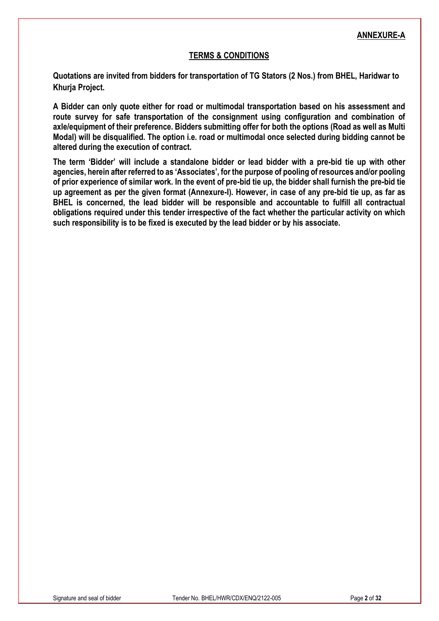### **TERMS & CONDITIONS**

**Quotations are invited from bidders for transportation of TG Stators (2 Nos.) from BHEL, Haridwar to Khurja Project.**

**A Bidder can only quote either for road or multimodal transportation based on his assessment and route survey for safe transportation of the consignment using configuration and combination of axle/equipment of their preference. Bidders submitting offer for both the options (Road as well as Multi Modal) will be disqualified. The option i.e. road or multimodal once selected during bidding cannot be altered during the execution of contract.**

**The term 'Bidder' will include a standalone bidder or lead bidder with a pre-bid tie up with other agencies, herein after referred to as 'Associates', for the purpose of pooling of resources and/or pooling of prior experience of similar work. In the event of pre-bid tie up, the bidder shall furnish the pre-bid tie up agreement as per the given format (Annexure-I). However, in case of any pre-bid tie up, as far as BHEL is concerned, the lead bidder will be responsible and accountable to fulfill all contractual obligations required under this tender irrespective of the fact whether the particular activity on which such responsibility is to be fixed is executed by the lead bidder or by his associate.**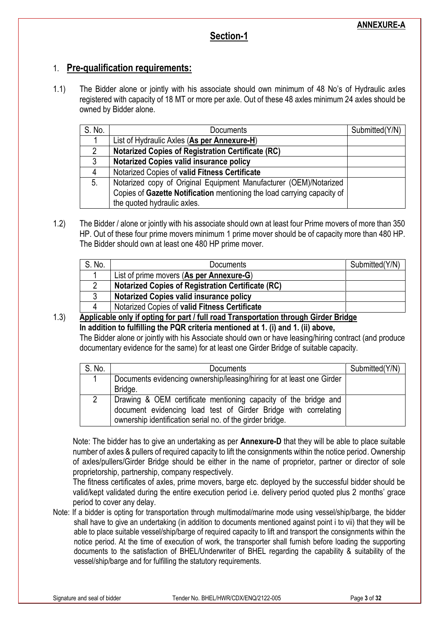# **Section-1**

# 1. **Pre-qualification requirements:**

1.1) The Bidder alone or jointly with his associate should own minimum of 48 No's of Hydraulic axles registered with capacity of 18 MT or more per axle. Out of these 48 axles minimum 24 axles should be owned by Bidder alone.

| S. No. | Documents                                                               | Submitted(Y/N) |
|--------|-------------------------------------------------------------------------|----------------|
|        | List of Hydraulic Axles (As per Annexure-H)                             |                |
| 2      | <b>Notarized Copies of Registration Certificate (RC)</b>                |                |
| 3      | <b>Notarized Copies valid insurance policy</b>                          |                |
| 4      | Notarized Copies of valid Fitness Certificate                           |                |
| 5.     | Notarized copy of Original Equipment Manufacturer (OEM)/Notarized       |                |
|        | Copies of Gazette Notification mentioning the load carrying capacity of |                |
|        | the quoted hydraulic axles.                                             |                |

1.2) The Bidder / alone or jointly with his associate should own at least four Prime movers of more than 350 HP. Out of these four prime movers minimum 1 prime mover should be of capacity more than 480 HP. The Bidder should own at least one 480 HP prime mover.

| S. No. | Documents                                                | Submitted(Y/N) |
|--------|----------------------------------------------------------|----------------|
|        | List of prime movers (As per Annexure-G)                 |                |
|        | <b>Notarized Copies of Registration Certificate (RC)</b> |                |
|        | <b>Notarized Copies valid insurance policy</b>           |                |
|        | Notarized Copies of valid Fitness Certificate            |                |

1.3) **Applicable only if opting for part / full road Transportation through Girder Bridge In addition to fulfilling the PQR criteria mentioned at 1. (i) and 1. (ii) above,** The Bidder alone or jointly with his Associate should own or have leasing/hiring contract (and produce documentary evidence for the same) for at least one Girder Bridge of suitable capacity.

| S. No. | Documents                                                                                                                          | Submitted(Y/N) |
|--------|------------------------------------------------------------------------------------------------------------------------------------|----------------|
|        | Documents evidencing ownership/leasing/hiring for at least one Girder                                                              |                |
|        | Bridge.                                                                                                                            |                |
| 2      | Drawing & OEM certificate mentioning capacity of the bridge and<br>document evidencing load test of Girder Bridge with correlating |                |
|        | ownership identification serial no. of the girder bridge.                                                                          |                |

Note: The bidder has to give an undertaking as per **Annexure-D** that they will be able to place suitable number of axles & pullers of required capacity to lift the consignments within the notice period. Ownership of axles/pullers/Girder Bridge should be either in the name of proprietor, partner or director of sole proprietorship, partnership, company respectively.

The fitness certificates of axles, prime movers, barge etc. deployed by the successful bidder should be valid/kept validated during the entire execution period i.e. delivery period quoted plus 2 months' grace period to cover any delay.

Note: If a bidder is opting for transportation through multimodal/marine mode using vessel/ship/barge, the bidder shall have to give an undertaking (in addition to documents mentioned against point i to vii) that they will be able to place suitable vessel/ship/barge of required capacity to lift and transport the consignments within the notice period. At the time of execution of work, the transporter shall furnish before loading the supporting documents to the satisfaction of BHEL/Underwriter of BHEL regarding the capability & suitability of the vessel/ship/barge and for fulfilling the statutory requirements.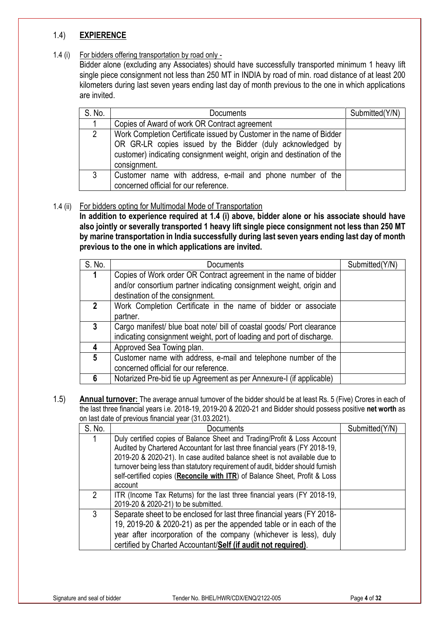# 1.4) **EXPIERENCE**

### 1.4 (i) For bidders offering transportation by road only -

Bidder alone (excluding any Associates) should have successfully transported minimum 1 heavy lift single piece consignment not less than 250 MT in INDIA by road of min. road distance of at least 200 kilometers during last seven years ending last day of month previous to the one in which applications are invited.

| S. No. | Documents                                                                                                                                                                                                                    | Submitted(Y/N) |
|--------|------------------------------------------------------------------------------------------------------------------------------------------------------------------------------------------------------------------------------|----------------|
|        | Copies of Award of work OR Contract agreement                                                                                                                                                                                |                |
| 2      | Work Completion Certificate issued by Customer in the name of Bidder<br>OR GR-LR copies issued by the Bidder (duly acknowledged by<br>customer) indicating consignment weight, origin and destination of the<br>consignment. |                |
| 3      | Customer name with address, e-mail and phone number of the<br>concerned official for our reference.                                                                                                                          |                |

### 1.4 (ii) For bidders opting for Multimodal Mode of Transportation

**In addition to experience required at 1.4 (i) above, bidder alone or his associate should have also jointly or severally transported 1 heavy lift single piece consignment not less than 250 MT by marine transportation in India successfully during last seven years ending last day of month previous to the one in which applications are invited.**

| S. No.       | Documents                                                             | Submitted(Y/N) |
|--------------|-----------------------------------------------------------------------|----------------|
|              | Copies of Work order OR Contract agreement in the name of bidder      |                |
|              | and/or consortium partner indicating consignment weight, origin and   |                |
|              | destination of the consignment.                                       |                |
| $\mathbf{2}$ | Work Completion Certificate in the name of bidder or associate        |                |
|              | partner.                                                              |                |
| 3            | Cargo manifest/ blue boat note/ bill of coastal goods/ Port clearance |                |
|              | indicating consignment weight, port of loading and port of discharge. |                |
| 4            | Approved Sea Towing plan.                                             |                |
| 5            | Customer name with address, e-mail and telephone number of the        |                |
|              | concerned official for our reference.                                 |                |
|              | Notarized Pre-bid tie up Agreement as per Annexure-I (if applicable)  |                |

1.5) **Annual turnover:** The average annual turnover of the bidder should be at least Rs. 5 (Five) Crores in each of the last three financial years i.e. 2018-19, 2019-20 & 2020-21 and Bidder should possess positive **net worth** as on last date of previous financial year (31.03.2021).

| S. No. | Documents                                                                                                                                                                                                                                                                                                                                                                                                       | Submitted(Y/N) |
|--------|-----------------------------------------------------------------------------------------------------------------------------------------------------------------------------------------------------------------------------------------------------------------------------------------------------------------------------------------------------------------------------------------------------------------|----------------|
|        | Duly certified copies of Balance Sheet and Trading/Profit & Loss Account<br>Audited by Chartered Accountant for last three financial years (FY 2018-19,<br>2019-20 & 2020-21). In case audited balance sheet is not available due to<br>turnover being less than statutory requirement of audit, bidder should furnish<br>self-certified copies (Reconcile with ITR) of Balance Sheet, Profit & Loss<br>account |                |
| 2      | ITR (Income Tax Returns) for the last three financial years (FY 2018-19,<br>2019-20 & 2020-21) to be submitted.                                                                                                                                                                                                                                                                                                 |                |
| 3      | Separate sheet to be enclosed for last three financial years (FY 2018-<br>19, 2019-20 & 2020-21) as per the appended table or in each of the<br>year after incorporation of the company (whichever is less), duly<br>certified by Charted Accountant/Self (if audit not required).                                                                                                                              |                |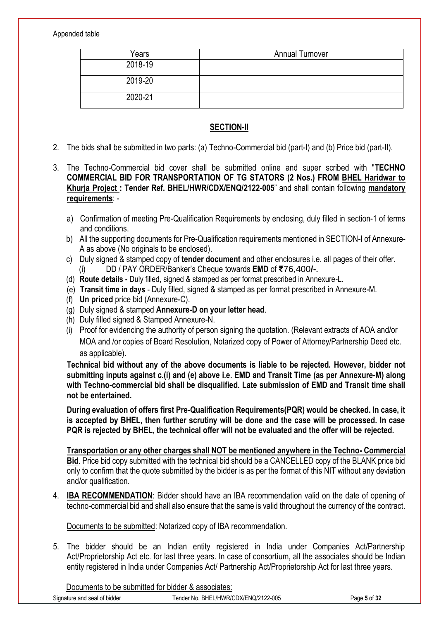Appended table

| Years   | <b>Annual Turnover</b> |
|---------|------------------------|
| 2018-19 |                        |
| 2019-20 |                        |
| 2020-21 |                        |

### **SECTION-II**

- 2. The bids shall be submitted in two parts: (a) Techno-Commercial bid (part-I) and (b) Price bid (part-II).
- 3. The Techno-Commercial bid cover shall be submitted online and super scribed with "**TECHNO COMMERCIAL BID FOR TRANSPORTATION OF TG STATORS (2 Nos.) FROM BHEL Haridwar to Khurja Project : Tender Ref. BHEL/HWR/CDX/ENQ/2122-005**" and shall contain following **mandatory requirements**:
	- a) Confirmation of meeting Pre-Qualification Requirements by enclosing, duly filled in section-1 of terms and conditions.
	- b) All the supporting documents for Pre-Qualification requirements mentioned in SECTION-I of Annexure-A as above (No originals to be enclosed).
	- c) Duly signed & stamped copy of **tender document** and other enclosures i.e. all pages of their offer. (i) DD / PAY ORDER/Banker's Cheque towards **EMD** of **₹**76,400**/-.**
	- (d) **Route details -** Duly filled, signed & stamped as per format prescribed in Annexure-L.
	- (e) **Transit time in days**  Duly filled, signed & stamped as per format prescribed in Annexure-M.
	- (f) **Un priced** price bid (Annexure-C).
	- (g) Duly signed & stamped **Annexure-D on your letter head**.
	- (h) Duly filled signed & Stamped Annexure-N.
	- (i) Proof for evidencing the authority of person signing the quotation. (Relevant extracts of AOA and/or MOA and /or copies of Board Resolution, Notarized copy of Power of Attorney/Partnership Deed etc. as applicable).

**Technical bid without any of the above documents is liable to be rejected. However, bidder not submitting inputs against c.(i) and (e) above i.e. EMD and Transit Time (as per Annexure-M) along with Techno-commercial bid shall be disqualified. Late submission of EMD and Transit time shall not be entertained.**

**During evaluation of offers first Pre-Qualification Requirements(PQR) would be checked. In case, it is accepted by BHEL, then further scrutiny will be done and the case will be processed. In case PQR is rejected by BHEL, the technical offer will not be evaluated and the offer will be rejected.**

**Transportation or any other charges shall NOT be mentioned anywhere in the Techno- Commercial Bid**. Price bid copy submitted with the technical bid should be a CANCELLED copy of the BLANK price bid only to confirm that the quote submitted by the bidder is as per the format of this NIT without any deviation and/or qualification.

4. **IBA RECOMMENDATION**: Bidder should have an IBA recommendation valid on the date of opening of techno-commercial bid and shall also ensure that the same is valid throughout the currency of the contract.

Documents to be submitted: Notarized copy of IBA recommendation.

5. The bidder should be an Indian entity registered in India under Companies Act/Partnership Act/Proprietorship Act etc. for last three years. In case of consortium, all the associates should be Indian entity registered in India under Companies Act/ Partnership Act/Proprietorship Act for last three years.

Documents to be submitted for bidder & associates: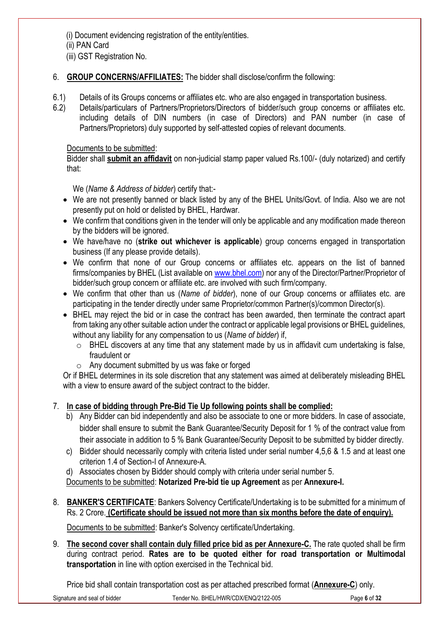(i) Document evidencing registration of the entity/entities.

(ii) PAN Card

(iii) GST Registration No.

- 6. **GROUP CONCERNS/AFFILIATES:** The bidder shall disclose/confirm the following:
- 6.1) Details of its Groups concerns or affiliates etc. who are also engaged in transportation business.
- 6.2) Details/particulars of Partners/Proprietors/Directors of bidder/such group concerns or affiliates etc. including details of DIN numbers (in case of Directors) and PAN number (in case of Partners/Proprietors) duly supported by self-attested copies of relevant documents.

# Documents to be submitted:

Bidder shall **submit an affidavit** on non-judicial stamp paper valued Rs.100/- (duly notarized) and certify that:

We (*Name & Address of bidder*) certify that:-

- We are not presently banned or black listed by any of the BHEL Units/Govt. of India. Also we are not presently put on hold or delisted by BHEL, Hardwar.
- We confirm that conditions given in the tender will only be applicable and any modification made thereon by the bidders will be ignored.
- We have/have no (**strike out whichever is applicable**) group concerns engaged in transportation business (If any please provide details).
- We confirm that none of our Group concerns or affiliates etc. appears on the list of banned firms/companies by BHEL (List available on [www.bhel.com\)](http://www.bhel.com/) nor any of the Director/Partner/Proprietor of bidder/such group concern or affiliate etc. are involved with such firm/company.
- We confirm that other than us (*Name of bidder*), none of our Group concerns or affiliates etc. are participating in the tender directly under same Proprietor/common Partner(s)/common Director(s).
- BHEL may reject the bid or in case the contract has been awarded, then terminate the contract apart from taking any other suitable action under the contract or applicable legal provisions or BHEL guidelines, without any liability for any compensation to us (*Name of bidder*) if,
	- o BHEL discovers at any time that any statement made by us in affidavit cum undertaking is false, fraudulent or
	- $\circ$  Any document submitted by us was fake or forged

Or if BHEL determines in its sole discretion that any statement was aimed at deliberately misleading BHEL with a view to ensure award of the subject contract to the bidder.

# 7. **In case of bidding through Pre-Bid Tie Up following points shall be complied:**

- b) Any Bidder can bid independently and also be associate to one or more bidders. In case of associate, bidder shall ensure to submit the Bank Guarantee/Security Deposit for 1 % of the contract value from their associate in addition to 5 % Bank Guarantee/Security Deposit to be submitted by bidder directly.
- c) Bidder should necessarily comply with criteria listed under serial number 4,5,6 & 1.5 and at least one criterion 1.4 of Section-I of Annexure-A.
- d) Associates chosen by Bidder should comply with criteria under serial number 5.

Documents to be submitted: **Notarized Pre-bid tie up Agreement** as per **Annexure-I.**

8. **BANKER'S CERTIFICATE**: Bankers Solvency Certificate/Undertaking is to be submitted for a minimum of Rs. 2 Crore. **(Certificate should be issued not more than six months before the date of enquiry).**

Documents to be submitted: Banker's Solvency certificate/Undertaking.

9. **The second cover shall contain duly filled price bid as per Annexure-C.** The rate quoted shall be firm during contract period. **Rates are to be quoted either for road transportation or Multimodal transportation** in line with option exercised in the Technical bid.

Price bid shall contain transportation cost as per attached prescribed format (**Annexure-C**) only.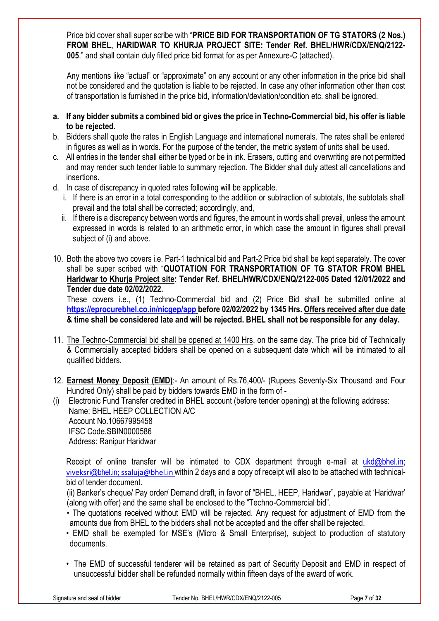Price bid cover shall super scribe with "**PRICE BID FOR TRANSPORTATION OF TG STATORS (2 Nos.) FROM BHEL, HARIDWAR TO KHURJA PROJECT SITE: Tender Ref. BHEL/HWR/CDX/ENQ/2122- 005**." and shall contain duly filled price bid format for as per Annexure-C (attached).

Any mentions like "actual" or "approximate" on any account or any other information in the price bid shall not be considered and the quotation is liable to be rejected. In case any other information other than cost of transportation is furnished in the price bid, information/deviation/condition etc. shall be ignored.

- **a. If any bidder submits a combined bid or gives the price in Techno-Commercial bid, his offer is liable to be rejected.**
- b. Bidders shall quote the rates in English Language and international numerals. The rates shall be entered in figures as well as in words. For the purpose of the tender, the metric system of units shall be used.
- c. All entries in the tender shall either be typed or be in ink. Erasers, cutting and overwriting are not permitted and may render such tender liable to summary rejection. The Bidder shall duly attest all cancellations and insertions.
- d. In case of discrepancy in quoted rates following will be applicable.
	- i. If there is an error in a total corresponding to the addition or subtraction of subtotals, the subtotals shall prevail and the total shall be corrected; accordingly, and,
	- ii. If there is a discrepancy between words and figures, the amount in words shall prevail, unless the amount expressed in words is related to an arithmetic error, in which case the amount in figures shall prevail subject of (i) and above.
- 10. Both the above two covers i.e. Part-1 technical bid and Part-2 Price bid shall be kept separately. The cover shall be super scribed with "**QUOTATION FOR TRANSPORTATION OF TG STATOR FROM BHEL Haridwar to Khurja Project site: Tender Ref. BHEL/HWR/CDX/ENQ/2122-005 Dated 12/01/2022 and Tender due date 02/02/2022.**

These covers i.e., (1) Techno-Commercial bid and (2) Price Bid shall be submitted online at **<https://eprocurebhel.co.in/nicgep/app> before 02/02/2022 by 1345 Hrs. Offers received after due date & time shall be considered late and will be rejected. BHEL shall not be responsible for any delay.**

- 11. The Techno-Commercial bid shall be opened at 1400 Hrs. on the same day. The price bid of Technically & Commercially accepted bidders shall be opened on a subsequent date which will be intimated to all qualified bidders.
- 12. **Earnest Money Deposit (EMD)**:- An amount of Rs.76,400/- (Rupees Seventy-Six Thousand and Four Hundred Only) shall be paid by bidders towards EMD in the form of -

(i) Electronic Fund Transfer credited in BHEL account (before tender opening) at the following address: Name: BHEL HEEP COLLECTION A/C Account No.10667995458 IFSC Code.SBIN0000586 Address: Ranipur Haridwar

Receipt of online transfer will be intimated to CDX department through e-mail at  $ukd@bbhel.in;$ viveksri[@bhel.in](mailto:viveksri@bhel.in)[; ssaluja@bhel.in](mailto:ssaluja@bhel.in) within 2 days and a copy of receipt will also to be attached with technicalbid of tender document.

(ii) Banker's cheque/ Pay order/ Demand draft, in favor of "BHEL, HEEP, Haridwar", payable at 'Haridwar' (along with offer) and the same shall be enclosed to the "Techno-Commercial bid".

- The quotations received without EMD will be rejected. Any request for adjustment of EMD from the amounts due from BHEL to the bidders shall not be accepted and the offer shall be rejected.
- EMD shall be exempted for MSE's (Micro & Small Enterprise), subject to production of statutory documents.
- The EMD of successful tenderer will be retained as part of Security Deposit and EMD in respect of unsuccessful bidder shall be refunded normally within fifteen days of the award of work.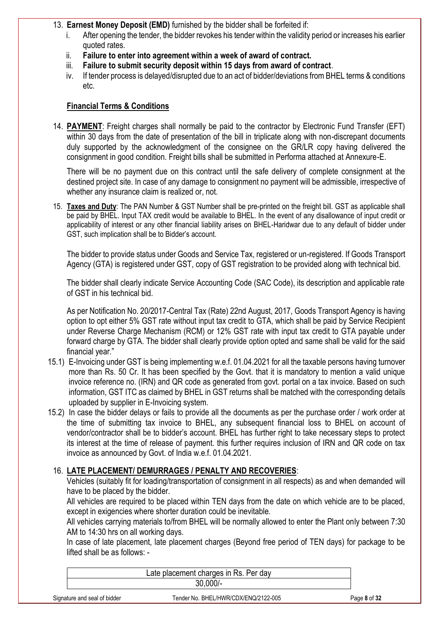### 13. **Earnest Money Deposit (EMD)** furnished by the bidder shall be forfeited if:

- i. After opening the tender, the bidder revokes his tender within the validity period or increases his earlier quoted rates.
- ii. **Failure to enter into agreement within a week of award of contract.**
- iii. **Failure to submit security deposit within 15 days from award of contract**.
- iv. If tender process is delayed/disrupted due to an act of bidder/deviations from BHEL terms & conditions etc.

# **Financial Terms & Conditions**

14. **PAYMENT**: Freight charges shall normally be paid to the contractor by Electronic Fund Transfer (EFT) within 30 days from the date of presentation of the bill in triplicate along with non-discrepant documents duly supported by the acknowledgment of the consignee on the GR/LR copy having delivered the consignment in good condition. Freight bills shall be submitted in Performa attached at Annexure-E.

There will be no payment due on this contract until the safe delivery of complete consignment at the destined project site. In case of any damage to consignment no payment will be admissible, irrespective of whether any insurance claim is realized or, not.

15. **Taxes and Duty**: The PAN Number & GST Number shall be pre-printed on the freight bill. GST as applicable shall be paid by BHEL. Input TAX credit would be available to BHEL. In the event of any disallowance of input credit or applicability of interest or any other financial liability arises on BHEL-Haridwar due to any default of bidder under GST, such implication shall be to Bidder's account.

The bidder to provide status under Goods and Service Tax, registered or un-registered. If Goods Transport Agency (GTA) is registered under GST, copy of GST registration to be provided along with technical bid.

The bidder shall clearly indicate Service Accounting Code (SAC Code), its description and applicable rate of GST in his technical bid.

As per Notification No. 20/2017-Central Tax (Rate) 22nd August, 2017, Goods Transport Agency is having option to opt either 5% GST rate without input tax credit to GTA, which shall be paid by Service Recipient under Reverse Charge Mechanism (RCM) or 12% GST rate with input tax credit to GTA payable under forward charge by GTA. The bidder shall clearly provide option opted and same shall be valid for the said financial year."

- 15.1) E-Invoicing under GST is being implementing w.e.f. 01.04.2021 for all the taxable persons having turnover more than Rs. 50 Cr. It has been specified by the Govt. that it is mandatory to mention a valid unique invoice reference no. (IRN) and QR code as generated from govt. portal on a tax invoice. Based on such information, GST ITC as claimed by BHEL in GST returns shall be matched with the corresponding details uploaded by supplier in E-Invoicing system.
- 15.2) In case the bidder delays or fails to provide all the documents as per the purchase order / work order at the time of submitting tax invoice to BHEL, any subsequent financial loss to BHEL on account of vendor/contractor shall be to bidder's account. BHEL has further right to take necessary steps to protect its interest at the time of release of payment. this further requires inclusion of IRN and QR code on tax invoice as announced by Govt. of India w.e.f. 01.04.2021.

# 16. **LATE PLACEMENT/ DEMURRAGES / PENALTY AND RECOVERIES**:

Vehicles (suitably fit for loading/transportation of consignment in all respects) as and when demanded will have to be placed by the bidder.

All vehicles are required to be placed within TEN days from the date on which vehicle are to be placed, except in exigencies where shorter duration could be inevitable.

All vehicles carrying materials to/from BHEL will be normally allowed to enter the Plant only between 7:30 AM to 14:30 hrs on all working days.

In case of late placement, late placement charges (Beyond free period of TEN days) for package to be lifted shall be as follows: -

|                              | Late placement charges in Rs. Per day |              |  |  |  |  |
|------------------------------|---------------------------------------|--------------|--|--|--|--|
|                              | $30.000/-$                            |              |  |  |  |  |
| Signature and seal of bidder | Tender No. BHEL/HWR/CDX/ENQ/2122-005  | Page 8 of 32 |  |  |  |  |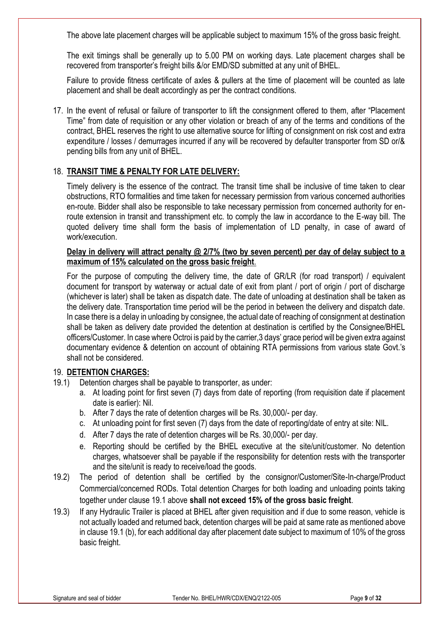The above late placement charges will be applicable subject to maximum 15% of the gross basic freight.

The exit timings shall be generally up to 5.00 PM on working days. Late placement charges shall be recovered from transporter's freight bills &/or EMD/SD submitted at any unit of BHEL.

Failure to provide fitness certificate of axles & pullers at the time of placement will be counted as late placement and shall be dealt accordingly as per the contract conditions.

17. In the event of refusal or failure of transporter to lift the consignment offered to them, after "Placement Time" from date of requisition or any other violation or breach of any of the terms and conditions of the contract, BHEL reserves the right to use alternative source for lifting of consignment on risk cost and extra expenditure / losses / demurrages incurred if any will be recovered by defaulter transporter from SD or/& pending bills from any unit of BHEL.

# 18. **TRANSIT TIME & PENALTY FOR LATE DELIVERY:**

Timely delivery is the essence of the contract. The transit time shall be inclusive of time taken to clear obstructions, RTO formalities and time taken for necessary permission from various concerned authorities en-route. Bidder shall also be responsible to take necessary permission from concerned authority for enroute extension in transit and transshipment etc. to comply the law in accordance to the E-way bill. The quoted delivery time shall form the basis of implementation of LD penalty, in case of award of work/execution.

### **Delay in delivery will attract penalty @ 2/7% (two by seven percent) per day of delay subject to a maximum of 15% calculated on the gross basic freight**.

For the purpose of computing the delivery time, the date of GR/LR (for road transport) / equivalent document for transport by waterway or actual date of exit from plant / port of origin / port of discharge (whichever is later) shall be taken as dispatch date. The date of unloading at destination shall be taken as the delivery date. Transportation time period will be the period in between the delivery and dispatch date. In case there is a delay in unloading by consignee, the actual date of reaching of consignment at destination shall be taken as delivery date provided the detention at destination is certified by the Consignee/BHEL officers/Customer. In case where Octroi is paid by the carrier,3 days' grace period will be given extra against documentary evidence & detention on account of obtaining RTA permissions from various state Govt.'s shall not be considered.

### 19. **DETENTION CHARGES:**

- 19.1) Detention charges shall be payable to transporter, as under:
	- a. At loading point for first seven (7) days from date of reporting (from requisition date if placement date is earlier): Nil.
	- b. After 7 days the rate of detention charges will be Rs. 30,000/- per day.
	- c. At unloading point for first seven (7) days from the date of reporting/date of entry at site: NIL.
	- d. After 7 days the rate of detention charges will be Rs. 30,000/- per day.
	- e. Reporting should be certified by the BHEL executive at the site/unit/customer. No detention charges, whatsoever shall be payable if the responsibility for detention rests with the transporter and the site/unit is ready to receive/load the goods.
- 19.2) The period of detention shall be certified by the consignor/Customer/Site-In-charge/Product Commercial/concerned RODs. Total detention Charges for both loading and unloading points taking together under clause 19.1 above **shall not exceed 15% of the gross basic freight**.
- 19.3) If any Hydraulic Trailer is placed at BHEL after given requisition and if due to some reason, vehicle is not actually loaded and returned back, detention charges will be paid at same rate as mentioned above in clause 19.1 (b), for each additional day after placement date subject to maximum of 10% of the gross basic freight.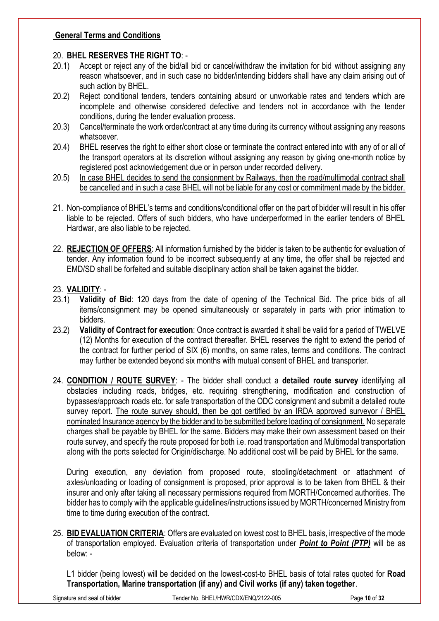### **General Terms and Conditions**

### 20. **BHEL RESERVES THE RIGHT TO**: -

- 20.1) Accept or reject any of the bid/all bid or cancel/withdraw the invitation for bid without assigning any reason whatsoever, and in such case no bidder/intending bidders shall have any claim arising out of such action by BHEL.
- 20.2) Reject conditional tenders, tenders containing absurd or unworkable rates and tenders which are incomplete and otherwise considered defective and tenders not in accordance with the tender conditions, during the tender evaluation process.
- 20.3) Cancel/terminate the work order/contract at any time during its currency without assigning any reasons whatsoever.
- 20.4) BHEL reserves the right to either short close or terminate the contract entered into with any of or all of the transport operators at its discretion without assigning any reason by giving one-month notice by registered post acknowledgement due or in person under recorded delivery.
- 20.5) In case BHEL decides to send the consignment by Railways, then the road/multimodal contract shall be cancelled and in such a case BHEL will not be liable for any cost or commitment made by the bidder.
- 21. Non-compliance of BHEL's terms and conditions/conditional offer on the part of bidder will result in his offer liable to be rejected. Offers of such bidders, who have underperformed in the earlier tenders of BHEL Hardwar, are also liable to be rejected.
- 22. **REJECTION OF OFFERS**: All information furnished by the bidder is taken to be authentic for evaluation of tender. Any information found to be incorrect subsequently at any time, the offer shall be rejected and EMD/SD shall be forfeited and suitable disciplinary action shall be taken against the bidder.

### 23. **VALIDITY**: -

- 23.1) **Validity of Bid**: 120 days from the date of opening of the Technical Bid. The price bids of all items/consignment may be opened simultaneously or separately in parts with prior intimation to bidders.
- 23.2) **Validity of Contract for execution**: Once contract is awarded it shall be valid for a period of TWELVE (12) Months for execution of the contract thereafter. BHEL reserves the right to extend the period of the contract for further period of SIX (6) months, on same rates, terms and conditions. The contract may further be extended beyond six months with mutual consent of BHEL and transporter.
- 24. **CONDITION / ROUTE SURVEY**: The bidder shall conduct a **detailed route survey** identifying all obstacles including roads, bridges, etc. requiring strengthening, modification and construction of bypasses/approach roads etc. for safe transportation of the ODC consignment and submit a detailed route survey report. The route survey should, then be got certified by an IRDA approved surveyor / BHEL nominated Insurance agency by the bidder and to be submitted before loading of consignment. No separate charges shall be payable by BHEL for the same. Bidders may make their own assessment based on their route survey, and specify the route proposed for both i.e. road transportation and Multimodal transportation along with the ports selected for Origin/discharge. No additional cost will be paid by BHEL for the same.

During execution, any deviation from proposed route, stooling/detachment or attachment of axles/unloading or loading of consignment is proposed, prior approval is to be taken from BHEL & their insurer and only after taking all necessary permissions required from MORTH/Concerned authorities. The bidder has to comply with the applicable guidelines/instructions issued by MORTH/concerned Ministry from time to time during execution of the contract.

25. **BID EVALUATION CRITERIA**: Offers are evaluated on lowest cost to BHEL basis, irrespective of the mode of transportation employed. Evaluation criteria of transportation under *Point to Point (PTP)* will be as below: -

L1 bidder (being lowest) will be decided on the lowest-cost-to BHEL basis of total rates quoted for **Road Transportation, Marine transportation (if any) and Civil works (if any) taken together**.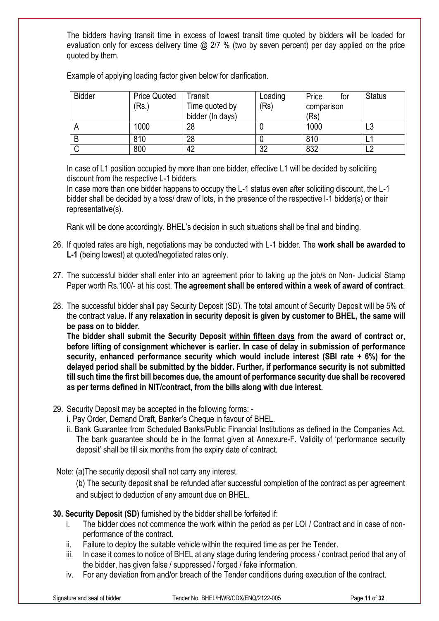The bidders having transit time in excess of lowest transit time quoted by bidders will be loaded for evaluation only for excess delivery time @ 2/7 % (two by seven percent) per day applied on the price quoted by them.

| <b>Bidder</b> | <b>Price Quoted</b> | Transit          | Loading  | Price<br>tor | <b>Status</b> |
|---------------|---------------------|------------------|----------|--------------|---------------|
|               | (Rs.)               | Time quoted by   | (Rs)     | comparison   |               |
|               |                     | bidder (In days) |          | (Rs)         |               |
| $\sqrt{ }$    | 1000                | 28               |          | 1000         | LO            |
|               | 810                 | 28               |          | 810          |               |
|               | 800                 | 42               | າາ<br>∠ت | 832          |               |

Example of applying loading factor given below for clarification.

In case of L1 position occupied by more than one bidder, effective L1 will be decided by soliciting discount from the respective L-1 bidders.

In case more than one bidder happens to occupy the L-1 status even after soliciting discount, the L-1 bidder shall be decided by a toss/ draw of lots, in the presence of the respective l-1 bidder(s) or their representative(s).

Rank will be done accordingly. BHEL's decision in such situations shall be final and binding.

- 26. If quoted rates are high, negotiations may be conducted with L-1 bidder. The **work shall be awarded to L-1** (being lowest) at quoted/negotiated rates only.
- 27. The successful bidder shall enter into an agreement prior to taking up the job/s on Non- Judicial Stamp Paper worth Rs.100/- at his cost. **The agreement shall be entered within a week of award of contract**.
- 28. The successful bidder shall pay Security Deposit (SD). The total amount of Security Deposit will be 5% of the contract value**. If any relaxation in security deposit is given by customer to BHEL, the same will be pass on to bidder.**

**The bidder shall submit the Security Deposit within fifteen days from the award of contract or, before lifting of consignment whichever is earlier. In case of delay in submission of performance security, enhanced performance security which would include interest (SBI rate + 6%) for the delayed period shall be submitted by the bidder. Further, if performance security is not submitted till such time the first bill becomes due, the amount of performance security due shall be recovered as per terms defined in NIT/contract, from the bills along with due interest.**

- 29. Security Deposit may be accepted in the following forms:
	- i. Pay Order, Demand Draft, Banker's Cheque in favour of BHEL.
	- ii. Bank Guarantee from Scheduled Banks/Public Financial Institutions as defined in the Companies Act. The bank guarantee should be in the format given at Annexure-F. Validity of 'performance security deposit' shall be till six months from the expiry date of contract.

Note: (a)The security deposit shall not carry any interest.

(b) The security deposit shall be refunded after successful completion of the contract as per agreement and subject to deduction of any amount due on BHEL.

**30. Security Deposit (SD)** furnished by the bidder shall be forfeited if:

- i. The bidder does not commence the work within the period as per LOI / Contract and in case of nonperformance of the contract.
- ii. Failure to deploy the suitable vehicle within the required time as per the Tender.
- iii. In case it comes to notice of BHEL at any stage during tendering process / contract period that any of the bidder, has given false / suppressed / forged / fake information.
- iv. For any deviation from and/or breach of the Tender conditions during execution of the contract.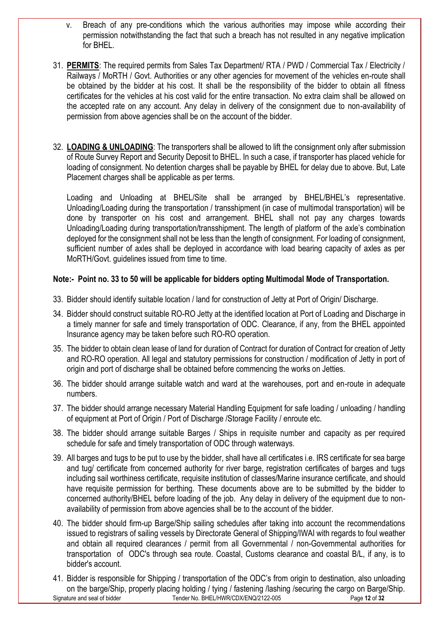- v. Breach of any pre-conditions which the various authorities may impose while according their permission notwithstanding the fact that such a breach has not resulted in any negative implication for BHEL.
- 31. **PERMITS**: The required permits from Sales Tax Department/ RTA / PWD / Commercial Tax / Electricity / Railways / MoRTH / Govt. Authorities or any other agencies for movement of the vehicles en-route shall be obtained by the bidder at his cost. It shall be the responsibility of the bidder to obtain all fitness certificates for the vehicles at his cost valid for the entire transaction. No extra claim shall be allowed on the accepted rate on any account. Any delay in delivery of the consignment due to non-availability of permission from above agencies shall be on the account of the bidder.
- 32. **LOADING & UNLOADING**: The transporters shall be allowed to lift the consignment only after submission of Route Survey Report and Security Deposit to BHEL. In such a case, if transporter has placed vehicle for loading of consignment. No detention charges shall be payable by BHEL for delay due to above. But, Late Placement charges shall be applicable as per terms.

Loading and Unloading at BHEL/Site shall be arranged by BHEL/BHEL's representative. Unloading/Loading during the transportation / transshipment (in case of multimodal transportation) will be done by transporter on his cost and arrangement. BHEL shall not pay any charges towards Unloading/Loading during transportation/transshipment. The length of platform of the axle's combination deployed for the consignment shall not be less than the length of consignment. For loading of consignment, sufficient number of axles shall be deployed in accordance with load bearing capacity of axles as per MoRTH/Govt. guidelines issued from time to time.

### **Note:- Point no. 33 to 50 will be applicable for bidders opting Multimodal Mode of Transportation.**

- 33. Bidder should identify suitable location / land for construction of Jetty at Port of Origin/ Discharge.
- 34. Bidder should construct suitable RO-RO Jetty at the identified location at Port of Loading and Discharge in a timely manner for safe and timely transportation of ODC. Clearance, if any, from the BHEL appointed Insurance agency may be taken before such RO-RO operation.
- 35. The bidder to obtain clean lease of land for duration of Contract for duration of Contract for creation of Jetty and RO-RO operation. All legal and statutory permissions for construction / modification of Jetty in port of origin and port of discharge shall be obtained before commencing the works on Jetties.
- 36. The bidder should arrange suitable watch and ward at the warehouses, port and en-route in adequate numbers.
- 37. The bidder should arrange necessary Material Handling Equipment for safe loading / unloading / handling of equipment at Port of Origin / Port of Discharge /Storage Facility / enroute etc.
- 38. The bidder should arrange suitable Barges / Ships in requisite number and capacity as per required schedule for safe and timely transportation of ODC through waterways.
- 39. All barges and tugs to be put to use by the bidder, shall have all certificates i.e. IRS certificate for sea barge and tug/ certificate from concerned authority for river barge, registration certificates of barges and tugs including sail worthiness certificate, requisite institution of classes/Marine insurance certificate, and should have requisite permission for berthing. These documents above are to be submitted by the bidder to concerned authority/BHEL before loading of the job. Any delay in delivery of the equipment due to nonavailability of permission from above agencies shall be to the account of the bidder.
- 40. The bidder should firm-up Barge/Ship sailing schedules after taking into account the recommendations issued to registrars of sailing vessels by Directorate General of Shipping/IWAI with regards to foul weather and obtain all required clearances / permit from all Governmental / non-Governmental authorities for transportation of ODC's through sea route. Coastal, Customs clearance and coastal B/L, if any, is to bidder's account.
- Signature and seal of bidder Tender No. BHEL/HWR/CDX/ENQ/2122-005 Page **12** of **32** 41. Bidder is responsible for Shipping / transportation of the ODC's from origin to destination, also unloading on the barge/Ship, properly placing holding / tying / fastening /lashing /securing the cargo on Barge/Ship.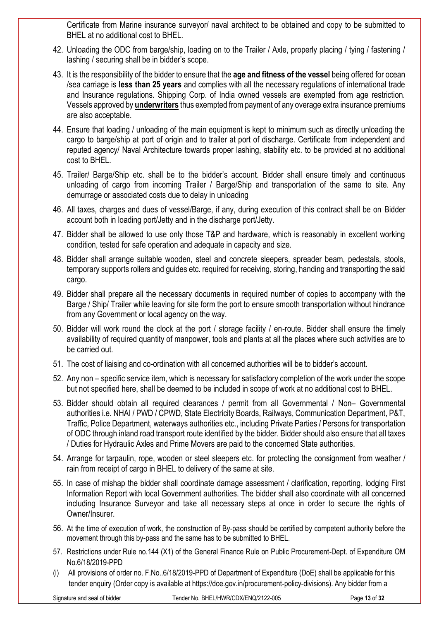Certificate from Marine insurance surveyor/ naval architect to be obtained and copy to be submitted to BHEL at no additional cost to BHEL.

- 42. Unloading the ODC from barge/ship, loading on to the Trailer / Axle, properly placing / tying / fastening / lashing / securing shall be in bidder's scope.
- 43. It is the responsibility of the bidder to ensure that the **age and fitness of the vessel** being offered for ocean /sea carriage is **less than 25 years** and complies with all the necessary regulations of international trade and Insurance regulations. Shipping Corp. of India owned vessels are exempted from age restriction. Vessels approved by **underwriters** thus exempted from payment of any overage extra insurance premiums are also acceptable.
- 44. Ensure that loading / unloading of the main equipment is kept to minimum such as directly unloading the cargo to barge/ship at port of origin and to trailer at port of discharge. Certificate from independent and reputed agency/ Naval Architecture towards proper lashing, stability etc. to be provided at no additional cost to BHEL.
- 45. Trailer/ Barge/Ship etc. shall be to the bidder's account. Bidder shall ensure timely and continuous unloading of cargo from incoming Trailer / Barge/Ship and transportation of the same to site. Any demurrage or associated costs due to delay in unloading
- 46. All taxes, charges and dues of vessel/Barge, if any, during execution of this contract shall be on Bidder account both in loading port/Jetty and in the discharge port/Jetty.
- 47. Bidder shall be allowed to use only those T&P and hardware, which is reasonably in excellent working condition, tested for safe operation and adequate in capacity and size.
- 48. Bidder shall arrange suitable wooden, steel and concrete sleepers, spreader beam, pedestals, stools, temporary supports rollers and guides etc. required for receiving, storing, handing and transporting the said cargo.
- 49. Bidder shall prepare all the necessary documents in required number of copies to accompany with the Barge / Ship/ Trailer while leaving for site form the port to ensure smooth transportation without hindrance from any Government or local agency on the way.
- 50. Bidder will work round the clock at the port / storage facility / en-route. Bidder shall ensure the timely availability of required quantity of manpower, tools and plants at all the places where such activities are to be carried out.
- 51. The cost of liaising and co-ordination with all concerned authorities will be to bidder's account.
- 52. Any non specific service item, which is necessary for satisfactory completion of the work under the scope but not specified here, shall be deemed to be included in scope of work at no additional cost to BHEL.
- 53. Bidder should obtain all required clearances / permit from all Governmental / Non– Governmental authorities i.e. NHAI / PWD / CPWD, State Electricity Boards, Railways, Communication Department, P&T, Traffic, Police Department, waterways authorities etc., including Private Parties / Persons for transportation of ODC through inland road transport route identified by the bidder. Bidder should also ensure that all taxes / Duties for Hydraulic Axles and Prime Movers are paid to the concerned State authorities.
- 54. Arrange for tarpaulin, rope, wooden or steel sleepers etc. for protecting the consignment from weather / rain from receipt of cargo in BHEL to delivery of the same at site.
- 55. In case of mishap the bidder shall coordinate damage assessment / clarification, reporting, lodging First Information Report with local Government authorities. The bidder shall also coordinate with all concerned including Insurance Surveyor and take all necessary steps at once in order to secure the rights of Owner/Insurer.
- 56. At the time of execution of work, the construction of By-pass should be certified by competent authority before the movement through this by-pass and the same has to be submitted to BHEL.
- 57. Restrictions under Rule no.144 (X1) of the General Finance Rule on Public Procurement-Dept. of Expenditure OM No.6/18/2019-PPD
- (i) All provisions of order no. F.No..6/18/2019-PPD of Department of Expenditure (DoE) shall be applicable for this tender enquiry (Order copy is available at https://doe.gov.in/procurement-policy-divisions). Any bidder from a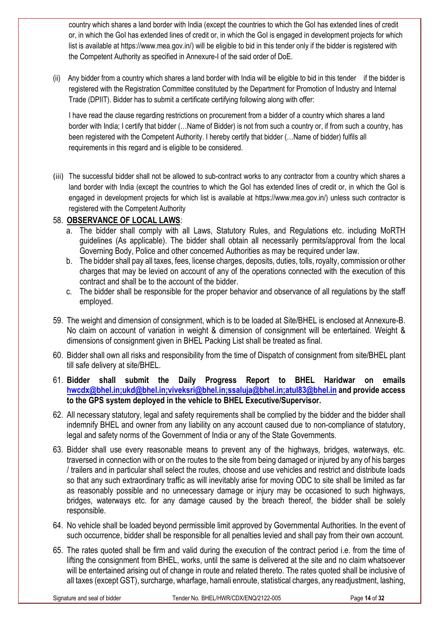country which shares a land border with India (except the countries to which the GoI has extended lines of credit or, in which the GoI has extended lines of credit or, in which the GoI is engaged in development projects for which list is available at [https://www.mea.gov.in/\)](https://www.mea.gov.in/) will be eligible to bid in this tender only if the bidder is registered with the Competent Authority as specified in Annexure-I of the said order of DoE.

(ii) Any bidder from a country which shares a land border with India will be eligible to bid in this tender if the bidder is registered with the Registration Committee constituted by the Department for Promotion of Industry and Internal Trade (DPIIT). Bidder has to submit a certificate certifying following along with offer:

I have read the clause regarding restrictions on procurement from a bidder of a country which shares a land border with India; I certify that bidder (…Name of Bidder) is not from such a country or, if from such a country, has been registered with the Competent Authority. I hereby certify that bidder (…Name of bidder) fulfils all requirements in this regard and is eligible to be considered.

(iii) The successful bidder shall not be allowed to sub-contract works to any contractor from a country which shares a land border with India (except the countries to which the GoI has extended lines of credit or, in which the GoI is engaged in development projects for which list is available at [https://www.mea.gov.in/\)](https://www.mea.gov.in/) unless such contractor is registered with the Competent Authority

# 58. **OBSERVANCE OF LOCAL LAWS**:

- a. The bidder shall comply with all Laws, Statutory Rules, and Regulations etc. including MoRTH guidelines (As applicable). The bidder shall obtain all necessarily permits/approval from the local Governing Body, Police and other concerned Authorities as may be required under law.
- b. The bidder shall pay all taxes, fees, license charges, deposits, duties, tolls, royalty, commission or other charges that may be levied on account of any of the operations connected with the execution of this contract and shall be to the account of the bidder.
- c. The bidder shall be responsible for the proper behavior and observance of all regulations by the staff employed.
- 59. The weight and dimension of consignment, which is to be loaded at Site/BHEL is enclosed at Annexure-B. No claim on account of variation in weight & dimension of consignment will be entertained. Weight & dimensions of consignment given in BHEL Packing List shall be treated as final.
- 60. Bidder shall own all risks and responsibility from the time of Dispatch of consignment from site/BHEL plant till safe delivery at site/BHEL.
- 61. **Bidder shall submit the Daily Progress Report to BHEL Haridwar on emails [hwcdx@bhel.in;](mailto:hwcdx@bhel.in)ukd@bhel.in;viveksri@bhel.in;ssaluja@bhel.in;atul83@bhel.in and provide access to the GPS system deployed in the vehicle to BHEL Executive/Supervisor.**
- 62. All necessary statutory, legal and safety requirements shall be complied by the bidder and the bidder shall indemnify BHEL and owner from any liability on any account caused due to non-compliance of statutory, legal and safety norms of the Government of India or any of the State Governments.
- 63. Bidder shall use every reasonable means to prevent any of the highways, bridges, waterways, etc. traversed in connection with or on the routes to the site from being damaged or injured by any of his barges / trailers and in particular shall select the routes, choose and use vehicles and restrict and distribute loads so that any such extraordinary traffic as will inevitably arise for moving ODC to site shall be limited as far as reasonably possible and no unnecessary damage or injury may be occasioned to such highways, bridges, waterways etc. for any damage caused by the breach thereof, the bidder shall be solely responsible.
- 64. No vehicle shall be loaded beyond permissible limit approved by Governmental Authorities. In the event of such occurrence, bidder shall be responsible for all penalties levied and shall pay from their own account.
- 65. The rates quoted shall be firm and valid during the execution of the contract period i.e. from the time of lifting the consignment from BHEL, works, until the same is delivered at the site and no claim whatsoever will be entertained arising out of change in route and related thereto. The rates quoted shall be inclusive of all taxes (except GST), surcharge, wharfage, hamali enroute, statistical charges, any readjustment, lashing,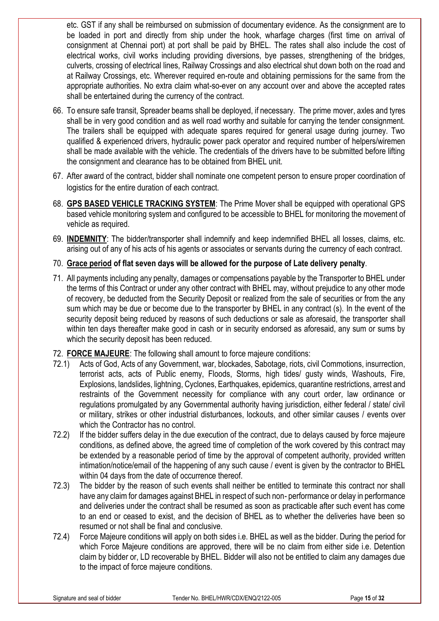etc. GST if any shall be reimbursed on submission of documentary evidence. As the consignment are to be loaded in port and directly from ship under the hook, wharfage charges (first time on arrival of consignment at Chennai port) at port shall be paid by BHEL. The rates shall also include the cost of electrical works, civil works including providing diversions, bye passes, strengthening of the bridges, culverts, crossing of electrical lines, Railway Crossings and also electrical shut down both on the road and at Railway Crossings, etc. Wherever required en-route and obtaining permissions for the same from the appropriate authorities. No extra claim what-so-ever on any account over and above the accepted rates shall be entertained during the currency of the contract.

- 66. To ensure safe transit, Spreader beams shall be deployed, if necessary. The prime mover, axles and tyres shall be in very good condition and as well road worthy and suitable for carrying the tender consignment. The trailers shall be equipped with adequate spares required for general usage during journey. Two qualified & experienced drivers, hydraulic power pack operator and required number of helpers/wiremen shall be made available with the vehicle. The credentials of the drivers have to be submitted before lifting the consignment and clearance has to be obtained from BHEL unit.
- 67. After award of the contract, bidder shall nominate one competent person to ensure proper coordination of logistics for the entire duration of each contract.
- 68. **GPS BASED VEHICLE TRACKING SYSTEM**: The Prime Mover shall be equipped with operational GPS based vehicle monitoring system and configured to be accessible to BHEL for monitoring the movement of vehicle as required.
- 69. **INDEMNITY**: The bidder/transporter shall indemnify and keep indemnified BHEL all losses, claims, etc. arising out of any of his acts of his agents or associates or servants during the currency of each contract.
- 70. **Grace period of flat seven days will be allowed for the purpose of Late delivery penalty**.
- 71. All payments including any penalty, damages or compensations payable by the Transporter to BHEL under the terms of this Contract or under any other contract with BHEL may, without prejudice to any other mode of recovery, be deducted from the Security Deposit or realized from the sale of securities or from the any sum which may be due or become due to the transporter by BHEL in any contract (s). In the event of the security deposit being reduced by reasons of such deductions or sale as aforesaid, the transporter shall within ten days thereafter make good in cash or in security endorsed as aforesaid, any sum or sums by which the security deposit has been reduced.
- 72. **FORCE MAJEURE**: The following shall amount to force majeure conditions:
- 72.1) Acts of God, Acts of any Government, war, blockades, Sabotage, riots, civil Commotions, insurrection, terrorist acts, acts of Public enemy, Floods, Storms, high tides/ gusty winds, Washouts, Fire, Explosions, landslides, lightning, Cyclones, Earthquakes, epidemics, quarantine restrictions, arrest and restraints of the Government necessity for compliance with any court order, law ordinance or regulations promulgated by any Governmental authority having jurisdiction, either federal / state/ civil or military, strikes or other industrial disturbances, lockouts, and other similar causes / events over which the Contractor has no control.
- 72.2) If the bidder suffers delay in the due execution of the contract, due to delays caused by force majeure conditions, as defined above, the agreed time of completion of the work covered by this contract may be extended by a reasonable period of time by the approval of competent authority, provided written intimation/notice/email of the happening of any such cause / event is given by the contractor to BHEL within 04 days from the date of occurrence thereof.
- 72.3) The bidder by the reason of such events shall neither be entitled to terminate this contract nor shall have any claim for damages against BHEL in respect of such non- performance or delay in performance and deliveries under the contract shall be resumed as soon as practicable after such event has come to an end or ceased to exist, and the decision of BHEL as to whether the deliveries have been so resumed or not shall be final and conclusive.
- 72.4) Force Majeure conditions will apply on both sides i.e. BHEL as well as the bidder. During the period for which Force Majeure conditions are approved, there will be no claim from either side i.e. Detention claim by bidder or, LD recoverable by BHEL. Bidder will also not be entitled to claim any damages due to the impact of force majeure conditions.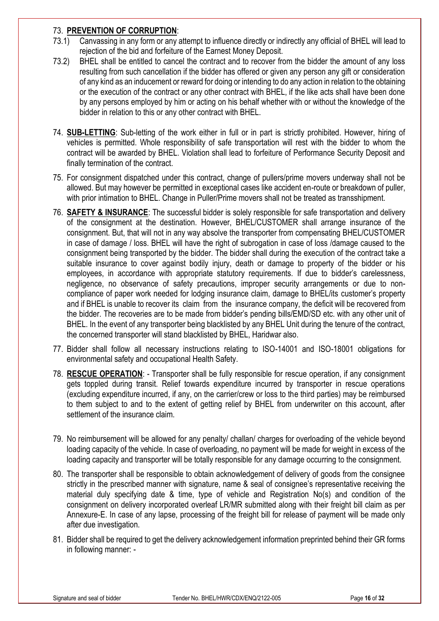### 73. **PREVENTION OF CORRUPTION**:

- 73.1) Canvassing in any form or any attempt to influence directly or indirectly any official of BHEL will lead to rejection of the bid and forfeiture of the Earnest Money Deposit.
- 73.2) BHEL shall be entitled to cancel the contract and to recover from the bidder the amount of any loss resulting from such cancellation if the bidder has offered or given any person any gift or consideration of any kind as an inducement or reward for doing or intending to do any action in relation to the obtaining or the execution of the contract or any other contract with BHEL, if the like acts shall have been done by any persons employed by him or acting on his behalf whether with or without the knowledge of the bidder in relation to this or any other contract with BHEL.
- 74. **SUB-LETTING**: Sub-letting of the work either in full or in part is strictly prohibited. However, hiring of vehicles is permitted. Whole responsibility of safe transportation will rest with the bidder to whom the contract will be awarded by BHEL. Violation shall lead to forfeiture of Performance Security Deposit and finally termination of the contract.
- 75. For consignment dispatched under this contract, change of pullers/prime movers underway shall not be allowed. But may however be permitted in exceptional cases like accident en-route or breakdown of puller, with prior intimation to BHEL. Change in Puller/Prime movers shall not be treated as transshipment.
- 76. **SAFETY & INSURANCE**: The successful bidder is solely responsible for safe transportation and delivery of the consignment at the destination. However, BHEL/CUSTOMER shall arrange insurance of the consignment. But, that will not in any way absolve the transporter from compensating BHEL/CUSTOMER in case of damage / loss. BHEL will have the right of subrogation in case of loss /damage caused to the consignment being transported by the bidder. The bidder shall during the execution of the contract take a suitable insurance to cover against bodily injury, death or damage to property of the bidder or his employees, in accordance with appropriate statutory requirements. If due to bidder's carelessness, negligence, no observance of safety precautions, improper security arrangements or due to noncompliance of paper work needed for lodging insurance claim, damage to BHEL/its customer's property and if BHEL is unable to recover its claim from the insurance company, the deficit will be recovered from the bidder. The recoveries are to be made from bidder's pending bills/EMD/SD etc. with any other unit of BHEL. In the event of any transporter being blacklisted by any BHEL Unit during the tenure of the contract, the concerned transporter will stand blacklisted by BHEL, Haridwar also.
- 77. Bidder shall follow all necessary instructions relating to ISO-14001 and ISO-18001 obligations for environmental safety and occupational Health Safety.
- 78. **RESCUE OPERATION**: Transporter shall be fully responsible for rescue operation, if any consignment gets toppled during transit. Relief towards expenditure incurred by transporter in rescue operations (excluding expenditure incurred, if any, on the carrier/crew or loss to the third parties) may be reimbursed to them subject to and to the extent of getting relief by BHEL from underwriter on this account, after settlement of the insurance claim.
- 79. No reimbursement will be allowed for any penalty/ challan/ charges for overloading of the vehicle beyond loading capacity of the vehicle. In case of overloading, no payment will be made for weight in excess of the loading capacity and transporter will be totally responsible for any damage occurring to the consignment.
- 80. The transporter shall be responsible to obtain acknowledgement of delivery of goods from the consignee strictly in the prescribed manner with signature, name & seal of consignee's representative receiving the material duly specifying date & time, type of vehicle and Registration No(s) and condition of the consignment on delivery incorporated overleaf LR/MR submitted along with their freight bill claim as per Annexure-E. In case of any lapse, processing of the freight bill for release of payment will be made only after due investigation.
- 81. Bidder shall be required to get the delivery acknowledgement information preprinted behind their GR forms in following manner: -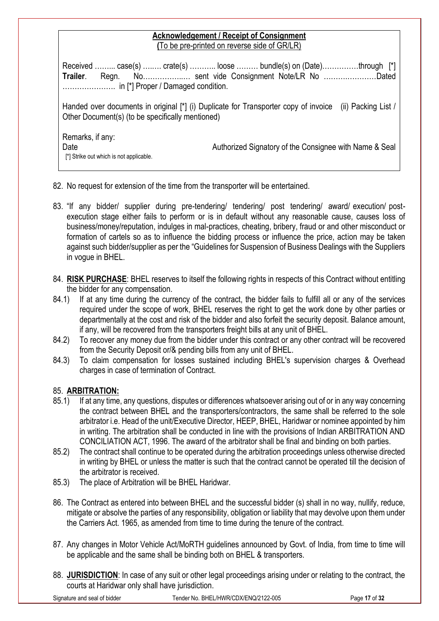### **Acknowledgement / Receipt of Consignment (**To be pre-printed on reverse side of GR/LR)

Received ……... case(s) ….…. crate(s) ……….. loose ……… bundle(s) on (Date)……………through [\*] **Trailer**. Regn. No……………..… sent vide Consignment Note/LR No ……….…………Dated …………………. in [\*] Proper / Damaged condition.

Handed over documents in original [\*] (i) Duplicate for Transporter copy of invoice (ii) Packing List / Other Document(s) (to be specifically mentioned)

Remarks, if any: Date **Date** Authorized Signatory of the Consignee with Name & Seal [\*] Strike out which is not applicable.

- 82. No request for extension of the time from the transporter will be entertained.
- 83. "If any bidder/ supplier during pre-tendering/ tendering/ post tendering/ award/ execution/ postexecution stage either fails to perform or is in default without any reasonable cause, causes loss of business/money/reputation, indulges in mal-practices, cheating, bribery, fraud or and other misconduct or formation of cartels so as to influence the bidding process or influence the price, action may be taken against such bidder/supplier as per the "Guidelines for Suspension of Business Dealings with the Suppliers in vogue in BHEL.
- 84. **RISK PURCHASE**: BHEL reserves to itself the following rights in respects of this Contract without entitling the bidder for any compensation.
- 84.1) If at any time during the currency of the contract, the bidder fails to fulfill all or any of the services required under the scope of work, BHEL reserves the right to get the work done by other parties or departmentally at the cost and risk of the bidder and also forfeit the security deposit. Balance amount, if any, will be recovered from the transporters freight bills at any unit of BHEL.
- 84.2) To recover any money due from the bidder under this contract or any other contract will be recovered from the Security Deposit or/& pending bills from any unit of BHEL.
- 84.3) To claim compensation for losses sustained including BHEL's supervision charges & Overhead charges in case of termination of Contract.

# 85. **ARBITRATION:**

- 85.1) If at any time, any questions, disputes or differences whatsoever arising out of or in any way concerning the contract between BHEL and the transporters/contractors, the same shall be referred to the sole arbitrator i.e. Head of the unit/Executive Director, HEEP, BHEL, Haridwar or nominee appointed by him in writing. The arbitration shall be conducted in line with the provisions of Indian ARBITRATION AND CONCILIATION ACT, 1996. The award of the arbitrator shall be final and binding on both parties.
- 85.2) The contract shall continue to be operated during the arbitration proceedings unless otherwise directed in writing by BHEL or unless the matter is such that the contract cannot be operated till the decision of the arbitrator is received.
- 85.3) The place of Arbitration will be BHEL Haridwar.
- 86. The Contract as entered into between BHEL and the successful bidder (s) shall in no way, nullify, reduce, mitigate or absolve the parties of any responsibility, obligation or liability that may devolve upon them under the Carriers Act. 1965, as amended from time to time during the tenure of the contract.
- 87. Any changes in Motor Vehicle Act/MoRTH guidelines announced by Govt. of India, from time to time will be applicable and the same shall be binding both on BHEL & transporters.
- 88. **JURISDICTION**: In case of any suit or other legal proceedings arising under or relating to the contract, the courts at Haridwar only shall have jurisdiction.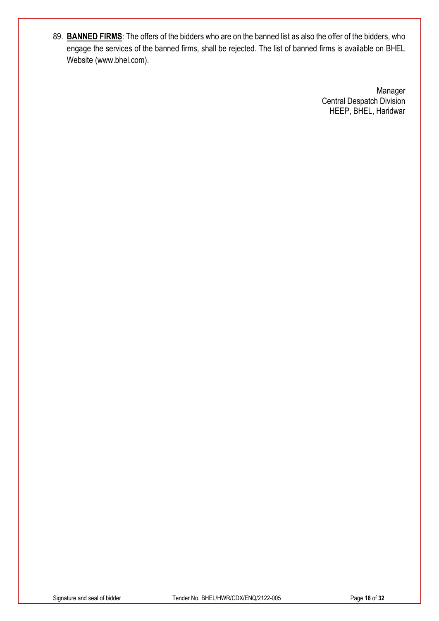89. **BANNED FIRMS**: The offers of the bidders who are on the banned list as also the offer of the bidders, who engage the services of the banned firms, shall be rejected. The list of banned firms is available on BHEL Website (www.bhel.com).

> Manager Central Despatch Division HEEP, BHEL, Haridwar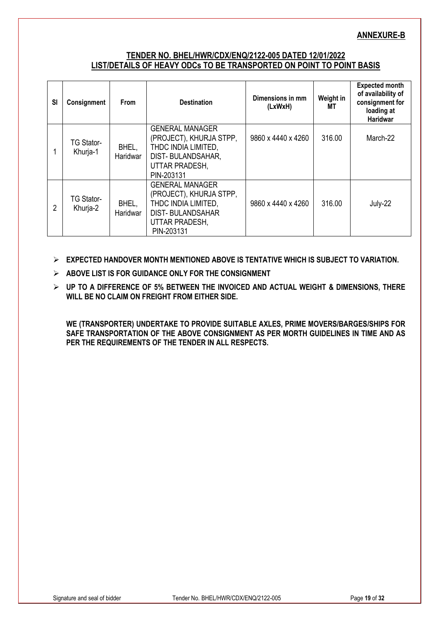### **ANNEXURE-B**

### **TENDER NO. BHEL/HWR/CDX/ENQ/2122-005 DATED 12/01/2022 LIST/DETAILS OF HEAVY ODCs TO BE TRANSPORTED ON POINT TO POINT BASIS**

| <b>SI</b> | Consignment                   | <b>From</b>       | <b>Destination</b>                                                                                                                  | Dimensions in mm<br>(LxWxH) | Weight in<br>МT | <b>Expected month</b><br>of availability of<br>consignment for<br>loading at<br><b>Haridwar</b> |
|-----------|-------------------------------|-------------------|-------------------------------------------------------------------------------------------------------------------------------------|-----------------------------|-----------------|-------------------------------------------------------------------------------------------------|
|           | <b>TG Stator-</b><br>Khurja-1 | BHEL,<br>Haridwar | <b>GENERAL MANAGER</b><br>(PROJECT), KHURJA STPP,<br>THDC INDIA LIMITED,<br>DIST-BULANDSAHAR,<br>UTTAR PRADESH,<br>PIN-203131       | 9860 x 4440 x 4260          | 316.00          | March-22                                                                                        |
| 2         | <b>TG Stator-</b><br>Khurja-2 | BHEL,<br>Haridwar | <b>GENERAL MANAGER</b><br>(PROJECT), KHURJA STPP,<br>THDC INDIA LIMITED,<br><b>DIST-BULANDSAHAR</b><br>UTTAR PRADESH,<br>PIN-203131 | 9860 x 4440 x 4260          | 316.00          | July-22                                                                                         |

- **EXPECTED HANDOVER MONTH MENTIONED ABOVE IS TENTATIVE WHICH IS SUBJECT TO VARIATION.**
- **ABOVE LIST IS FOR GUIDANCE ONLY FOR THE CONSIGNMENT**
- **UP TO A DIFFERENCE OF 5% BETWEEN THE INVOICED AND ACTUAL WEIGHT & DIMENSIONS, THERE WILL BE NO CLAIM ON FREIGHT FROM EITHER SIDE.**

**WE (TRANSPORTER) UNDERTAKE TO PROVIDE SUITABLE AXLES, PRIME MOVERS/BARGES/SHIPS FOR SAFE TRANSPORTATION OF THE ABOVE CONSIGNMENT AS PER MORTH GUIDELINES IN TIME AND AS PER THE REQUIREMENTS OF THE TENDER IN ALL RESPECTS.**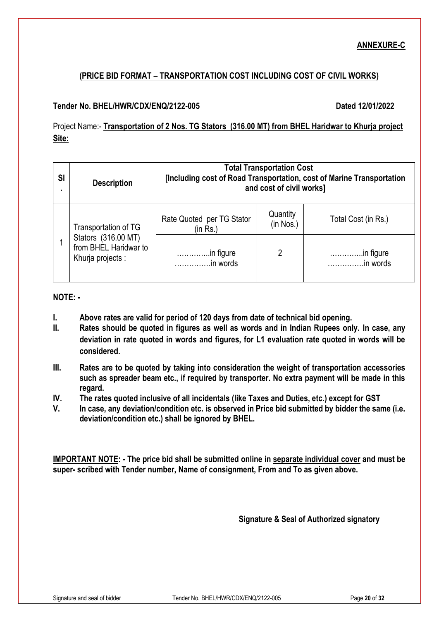# **ANNEXURE-C**

# **(PRICE BID FORMAT – TRANSPORTATION COST INCLUDING COST OF CIVIL WORKS)**

### **Tender No. BHEL/HWR/CDX/ENQ/2122-005 Dated 12/01/2022**

Project Name:- **Transportation of 2 Nos. TG Stators (316.00 MT) from BHEL Haridwar to Khurja project Site:**

| <b>SI</b> | <b>Description</b>                                                | <b>Total Transportation Cost</b><br>[Including cost of Road Transportation, cost of Marine Transportation<br>and cost of civil works] |                       |                        |  |  |  |
|-----------|-------------------------------------------------------------------|---------------------------------------------------------------------------------------------------------------------------------------|-----------------------|------------------------|--|--|--|
|           | Transportation of TG                                              | Rate Quoted per TG Stator<br>(in Rs.)                                                                                                 | Quantity<br>(in Nos.) | Total Cost (in Rs.)    |  |  |  |
|           | Stators (316.00 MT)<br>from BHEL Haridwar to<br>Khurja projects : | in figure<br>in words                                                                                                                 | 2                     | .in figure<br>in words |  |  |  |

### **NOTE: -**

- **I. Above rates are valid for period of 120 days from date of technical bid opening.**
- **II. Rates should be quoted in figures as well as words and in Indian Rupees only. In case, any deviation in rate quoted in words and figures, for L1 evaluation rate quoted in words will be considered.**
- **III. Rates are to be quoted by taking into consideration the weight of transportation accessories such as spreader beam etc., if required by transporter. No extra payment will be made in this regard.**
- **IV. The rates quoted inclusive of all incidentals (like Taxes and Duties, etc.) except for GST**
- **V. In case, any deviation/condition etc. is observed in Price bid submitted by bidder the same (i.e. deviation/condition etc.) shall be ignored by BHEL.**

**IMPORTANT NOTE: - The price bid shall be submitted online in separate individual cover and must be super- scribed with Tender number, Name of consignment, From and To as given above.**

**Signature & Seal of Authorized signatory**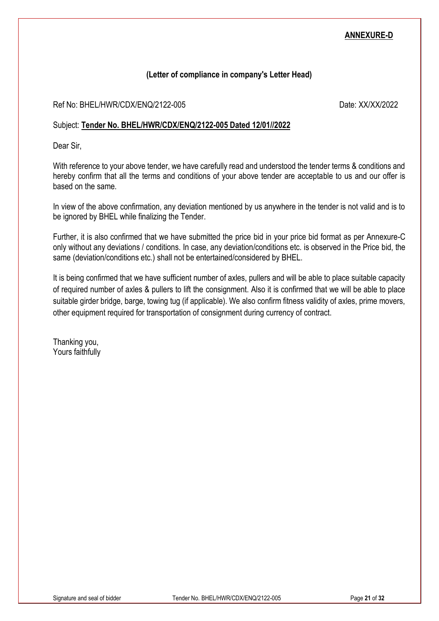### **ANNEXURE-D**

### **(Letter of compliance in company's Letter Head)**

Ref No: BHEL/HWR/CDX/ENQ/2122-005 Date: XX/XX/2022

### Subject: **Tender No. BHEL/HWR/CDX/ENQ/2122-005 Dated 12/01//2022**

Dear Sir,

With reference to your above tender, we have carefully read and understood the tender terms & conditions and hereby confirm that all the terms and conditions of your above tender are acceptable to us and our offer is based on the same.

In view of the above confirmation, any deviation mentioned by us anywhere in the tender is not valid and is to be ignored by BHEL while finalizing the Tender.

Further, it is also confirmed that we have submitted the price bid in your price bid format as per Annexure-C only without any deviations / conditions. In case, any deviation/conditions etc. is observed in the Price bid, the same (deviation/conditions etc.) shall not be entertained/considered by BHEL.

It is being confirmed that we have sufficient number of axles, pullers and will be able to place suitable capacity of required number of axles & pullers to lift the consignment. Also it is confirmed that we will be able to place suitable girder bridge, barge, towing tug (if applicable). We also confirm fitness validity of axles, prime movers, other equipment required for transportation of consignment during currency of contract.

Thanking you, Yours faithfully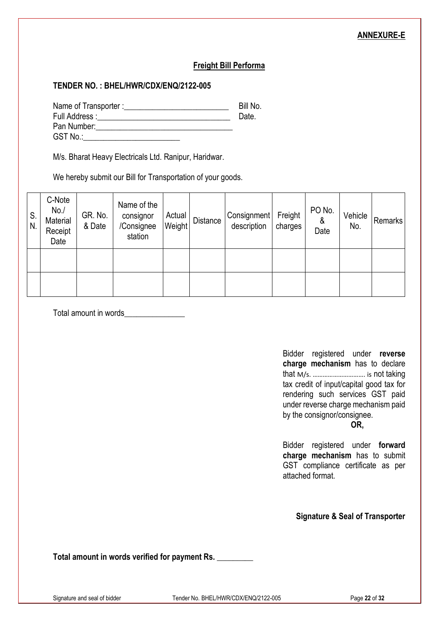### **ANNEXURE-E**

### **Freight Bill Performa**

### **TENDER NO. : BHEL/HWR/CDX/ENQ/2122-005**

Name of Transporter :\_\_\_\_\_\_\_\_\_\_\_\_\_\_\_\_\_\_\_\_\_\_\_\_\_\_ Bill No. Full Address :\_\_\_\_\_\_\_\_\_\_\_\_\_\_\_\_\_\_\_\_\_\_\_\_\_\_\_\_\_\_\_\_\_ Date. Pan Number: GST No.:\_\_\_\_\_\_\_\_\_\_\_\_\_\_\_\_\_\_\_\_\_\_\_\_

M/s. Bharat Heavy Electricals Ltd. Ranipur, Haridwar.

We hereby submit our Bill for Transportation of your goods.

| S.<br>N | C-Note<br>No.<br>Material<br>Receipt<br>Date | GR. No.<br>& Date | Name of the<br>consignor<br>/Consignee<br>station | Actual<br>Weight | <b>Distance</b> | Consignment<br>description | Freight<br>charges | PO No.<br>&<br>Date | Vehicle<br>No. | <b>Remarks</b> |
|---------|----------------------------------------------|-------------------|---------------------------------------------------|------------------|-----------------|----------------------------|--------------------|---------------------|----------------|----------------|
|         |                                              |                   |                                                   |                  |                 |                            |                    |                     |                |                |
|         |                                              |                   |                                                   |                  |                 |                            |                    |                     |                |                |

Total amount in words\_\_\_\_\_\_\_\_\_\_\_\_\_\_\_

Bidder registered under **reverse charge mechanism** has to declare that M/s. …………………………. is not taking tax credit of input/capital good tax for rendering such services GST paid under reverse charge mechanism paid by the consignor/consignee.

 **OR,**

Bidder registered under **forward charge mechanism** has to submit GST compliance certificate as per attached format.

**Signature & Seal of Transporter**

**Total amount in words verified for payment Rs. \_\_\_\_\_\_\_\_\_**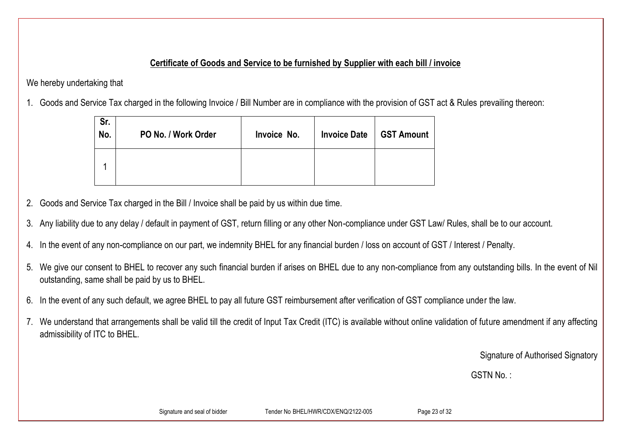# **Certificate of Goods and Service to be furnished by Supplier with each bill / invoice**

We hereby undertaking that

1. Goods and Service Tax charged in the following Invoice / Bill Number are in compliance with the provision of GST act & Rules prevailing thereon:

| Sr.<br>No. | PO No. / Work Order | Invoice No. | <b>Invoice Date</b> | <b>GST Amount</b> |
|------------|---------------------|-------------|---------------------|-------------------|
|            |                     |             |                     |                   |

- 2. Goods and Service Tax charged in the Bill / Invoice shall be paid by us within due time.
- 3. Any liability due to any delay / default in payment of GST, return filling or any other Non-compliance under GST Law/ Rules, shall be to our account.
- 4. In the event of any non-compliance on our part, we indemnity BHEL for any financial burden / loss on account of GST / Interest / Penalty.
- 5. We give our consent to BHEL to recover any such financial burden if arises on BHEL due to any non-compliance from any outstanding bills. In the event of Nil outstanding, same shall be paid by us to BHEL.
- 6. In the event of any such default, we agree BHEL to pay all future GST reimbursement after verification of GST compliance under the law.
- 7. We understand that arrangements shall be valid till the credit of Input Tax Credit (ITC) is available without online validation of future amendment if any affecting admissibility of ITC to BHEL.

Signature of Authorised Signatory

GSTN No.: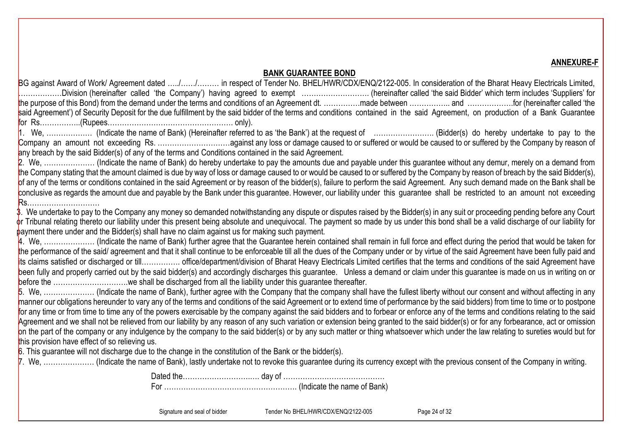**ANNEXURE-F**

### **BANK GUARANTEE BOND**

BG against Award of Work/ Agreement dated …../…….... in respect of Tender No. BHEL/HWR/CDX/ENQ/2122-005. In consideration of the Bharat Heavy Electricals Limited, ………………Division (hereinafter called 'the Company') having agreed to exempt ………………………. (hereinafter called 'the said Bidder' which term includes 'Suppliers' for the purpose of this Bond) from the demand under the terms and conditions of an Agreement dt. ……………made between …………….. and ……………….for (hereinafter called 'the said Agreement') of Security Deposit for the due fulfillment by the said bidder of the terms and conditions contained in the said Agreement, on production of a Bank Guarantee for Rs……………..(Rupees……………………………………………. only).

1. We, ………………. (Indicate the name of Bank) (Hereinafter referred to as 'the Bank') at the request of ……………………. (Bidder(s) do hereby undertake to pay to the Company an amount not exceeding Rs. …………………………against any loss or damage caused to or suffered or would be caused to or suffered by the Company by reason of any breach by the said Bidder(s) of any of the terms and Conditions contained in the said Agreement.

2. We, ………………… (Indicate the name of Bank) do hereby undertake to pay the amounts due and payable under this guarantee without any demur, merely on a demand from the Company stating that the amount claimed is due by way of loss or damage caused to or would be caused to or suffered by the Company by reason of breach by the said Bidder(s), of any of the terms or conditions contained in the said Agreement or by reason of the bidder(s), failure to perform the said Agreement. Any such demand made on the Bank shall be conclusive as regards the amount due and payable by the Bank under this guarantee. However, our liability under this guarantee shall be restricted to an amount not exceeding Rs…………………………

3. We undertake to pay to the Company any money so demanded notwithstanding any dispute or disputes raised by the Bidder(s) in any suit or proceeding pending before any Court or Tribunal relating thereto our liability under this present being absolute and unequivocal. The payment so made by us under this bond shall be a valid discharge of our liability for payment there under and the Bidder(s) shall have no claim against us for making such payment.

4. We, ………………… (Indicate the name of Bank) further agree that the Guarantee herein contained shall remain in full force and effect during the period that would be taken for the performance of the said/ agreement and that it shall continue to be enforceable till all the dues of the Company under or by virtue of the said Agreement have been fully paid and its claims satisfied or discharged or till……………. office/department/division of Bharat Heavy Electricals Limited certifies that the terms and conditions of the said Agreement have been fully and properly carried out by the said bidder(s) and accordingly discharges this guarantee. Unless a demand or claim under this guarantee is made on us in writing on or before the ………………………….we shall be discharged from all the liability under this guarantee thereafter.

5. We, ………………… (Indicate the name of Bank), further agree with the Company that the company shall have the fullest liberty without our consent and without affecting in any manner our obligations hereunder to vary any of the terms and conditions of the said Agreement or to extend time of performance by the said bidders) from time to time or to postpone for any time or from time to time any of the powers exercisable by the company against the said bidders and to forbear or enforce any of the terms and conditions relating to the said Agreement and we shall not be relieved from our liability by any reason of any such variation or extension being granted to the said bidder(s) or for any forbearance, act or omission on the part of the company or any indulgence by the company to the said bidder(s) or by any such matter or thing whatsoever which under the law relating to sureties would but for this provision have effect of so relieving us.

6. This guarantee will not discharge due to the change in the constitution of the Bank or the bidder(s).

7. We, ………………… (Indicate the name of Bank), lastly undertake not to revoke this guarantee during its currency except with the previous consent of the Company in writing.

Dated the……………………….…. day of …………………………………… For ………………………………………………. (Indicate the name of Bank)

Signature and seal of bidder Tender No BHEL/HWR/CDX/ENQ/2122-005 Page 24 of 32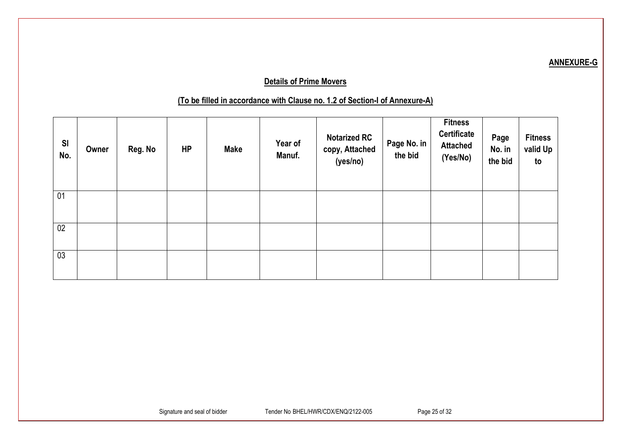# **Details of Prime Movers**

# **(To be filled in accordance with Clause no. 1.2 of Section-I of Annexure-A)**

| SI<br>No. | Owner | Reg. No | HP | <b>Make</b> | Year of<br>Manuf. | <b>Notarized RC</b><br>copy, Attached<br>(yes/no) | Page No. in<br>the bid | <b>Fitness</b><br>Certificate<br><b>Attached</b><br>(Yes/No) | Page<br>No. in<br>the bid | <b>Fitness</b><br>valid Up<br>to |
|-----------|-------|---------|----|-------------|-------------------|---------------------------------------------------|------------------------|--------------------------------------------------------------|---------------------------|----------------------------------|
| 01        |       |         |    |             |                   |                                                   |                        |                                                              |                           |                                  |
| 02        |       |         |    |             |                   |                                                   |                        |                                                              |                           |                                  |
| 03        |       |         |    |             |                   |                                                   |                        |                                                              |                           |                                  |

# **ANNEXURE-G**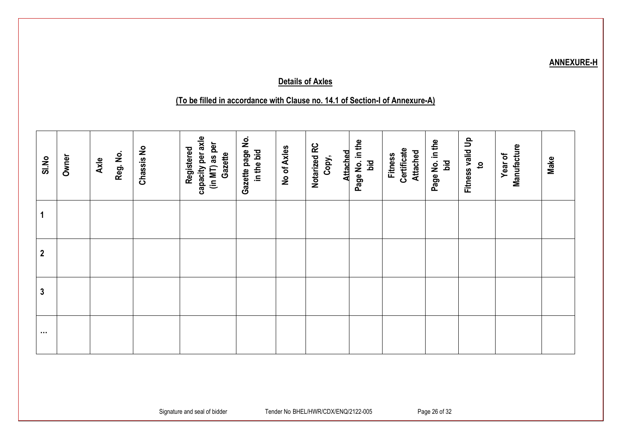# **Details of Axles**

# **(To be filled in accordance with Clause no. 14.1 of Section-I of Annexure-A)**

| SI.No            | Owner | Reg. No.<br>Axle | Chassis No | capacity per axle<br>(in MT) as per<br>Registered<br>Gazette | Gazette page No.<br>in the bid | No of Axles | Notarized RC<br><b>Attached</b><br>Copy, | Page No. in the<br>bid | Certificate<br><b>Attached</b><br><b>Fitness</b> | Page No. in the<br>Ъä | Fitness valid Up<br>$\mathbf{c}$ | Manufacture<br>Year of | Make |
|------------------|-------|------------------|------------|--------------------------------------------------------------|--------------------------------|-------------|------------------------------------------|------------------------|--------------------------------------------------|-----------------------|----------------------------------|------------------------|------|
| 1                |       |                  |            |                                                              |                                |             |                                          |                        |                                                  |                       |                                  |                        |      |
| $\boldsymbol{2}$ |       |                  |            |                                                              |                                |             |                                          |                        |                                                  |                       |                                  |                        |      |
| 3                |       |                  |            |                                                              |                                |             |                                          |                        |                                                  |                       |                                  |                        |      |
| $\sim$ $\sim$    |       |                  |            |                                                              |                                |             |                                          |                        |                                                  |                       |                                  |                        |      |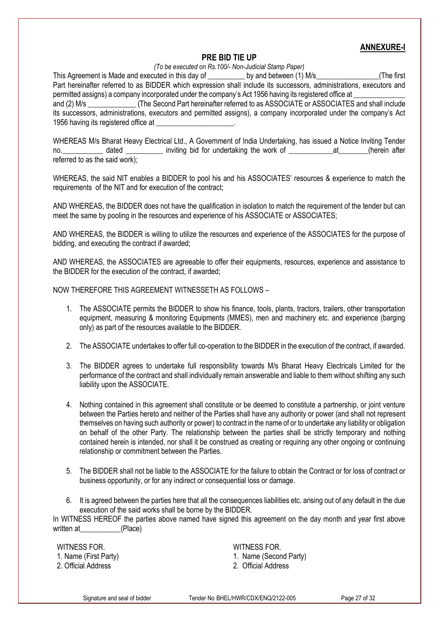### **ANNEXURE-I**

### **PRE BID TIE UP**

*(To be executed on Rs.100/- Non-Judicial Stamp Paper)*

This Agreement is Made and executed in this day of degree by and between (1) M/s The first Part hereinafter referred to as BIDDER which expression shall include its successors, administrations, executors and permitted assigns) a company incorporated under the company's Act 1956 having its registered office at and (2) M/s  $(2)$  M/s  $(3)$  (The Second Part hereinafter referred to as ASSOCIATE or ASSOCIATES and shall include its successors, administrations, executors and permitted assigns), a company incorporated under the company's Act 1956 having its registered office at

WHEREAS M/s Bharat Heavy Electrical Ltd., A Government of India Undertaking, has issued a Notice Inviting Tender no. \_\_\_\_\_\_\_\_\_\_\_ dated \_\_\_\_\_\_\_\_\_\_ inviting bid for undertaking the work of \_\_\_\_\_\_\_\_\_\_\_\_\_\_\_at\_\_\_\_\_\_\_(herein after referred to as the said work);

WHEREAS, the said NIT enables a BIDDER to pool his and his ASSOCIATES' resources & experience to match the requirements of the NIT and for execution of the contract;

AND WHEREAS, the BIDDER does not have the qualification in isolation to match the requirement of the tender but can meet the same by pooling in the resources and experience of his ASSOCIATE or ASSOCIATES;

AND WHEREAS, the BIDDER is willing to utilize the resources and experience of the ASSOCIATES for the purpose of bidding, and executing the contract if awarded;

AND WHEREAS, the ASSOCIATES are agreeable to offer their equipments, resources, experience and assistance to the BIDDER for the execution of the contract, if awarded;

NOW THEREFORE THIS AGREEMENT WITNESSETH AS FOLLOWS –

- 1. The ASSOCIATE permits the BIDDER to show his finance, tools, plants, tractors, trailers, other transportation equipment, measuring & monitoring Equipments (MMES), men and machinery etc. and experience (barging only) as part of the resources available to the BIDDER.
- 2. The ASSOCIATE undertakes to offer full co-operation to the BIDDER in the execution of the contract, if awarded.
- 3. The BIDDER agrees to undertake full responsibility towards M/s Bharat Heavy Electricals Limited for the performance of the contract and shall individually remain answerable and liable to them without shifting any such liability upon the ASSOCIATE.
- 4. Nothing contained in this agreement shall constitute or be deemed to constitute a partnership, or joint venture between the Parties hereto and neither of the Parties shall have any authority or power (and shall not represent themselves on having such authority or power) to contract in the name of or to undertake any liability or obligation on behalf of the other Party. The relationship between the parties shall be strictly temporary and nothing contained herein is intended, nor shall it be construed as creating or requiring any other ongoing or continuing relationship or commitment between the Parties.
- 5. The BIDDER shall not be liable to the ASSOCIATE for the failure to obtain the Contract or for loss of contract or business opportunity, or for any indirect or consequential loss or damage.
- 6. It is agreed between the parties here that all the consequences liabilities etc. arising out of any default in the due execution of the said works shall be borne by the BIDDER.

In WITNESS HEREOF the parties above named have signed this agreement on the day month and year first above written at (Place)

WITNESS FOR

1. Name (First Party)

2. Official Address

WITNESS FOR

- 1. Name (Second Party)
- 2. Official Address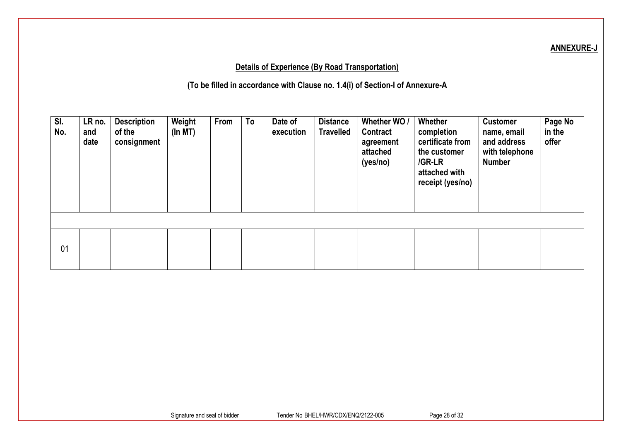# **ANNEXURE-J**

# **Details of Experience (By Road Transportation)**

**(To be filled in accordance with Clause no. 1.4(i) of Section-I of Annexure-A**

| SI.<br>No. | LR no.<br>and<br>date | <b>Description</b><br>of the<br>consignment | Weight<br>(In MT) | From | To | Date of<br>execution | <b>Distance</b><br><b>Travelled</b> | Whether WO /<br>Contract<br>agreement<br>attached<br>(yes/no) | Whether<br>completion<br>certificate from<br>the customer<br>/GR-LR<br>attached with<br>receipt (yes/no) | <b>Customer</b><br>name, email<br>and address<br>with telephone<br><b>Number</b> | Page No<br>in the<br>offer |
|------------|-----------------------|---------------------------------------------|-------------------|------|----|----------------------|-------------------------------------|---------------------------------------------------------------|----------------------------------------------------------------------------------------------------------|----------------------------------------------------------------------------------|----------------------------|
| 01         |                       |                                             |                   |      |    |                      |                                     |                                                               |                                                                                                          |                                                                                  |                            |
|            |                       |                                             |                   |      |    |                      |                                     |                                                               |                                                                                                          |                                                                                  |                            |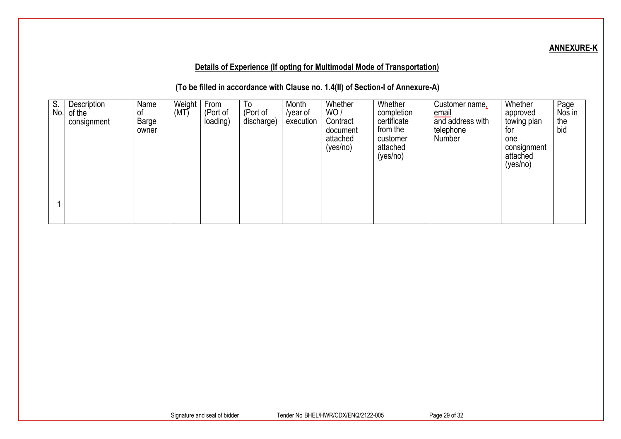# **ANNEXURE-K**

# **Details of Experience (If opting for Multimodal Mode of Transportation)**

**(To be filled in accordance with Clause no. 1.4(II) of Section-I of Annexure-A)**

| $\overline{S}$ .<br>No. | Description<br>of the<br>consignment | Name<br>0t<br>Barge<br>owner | Weight<br>(MT) | From<br>(Port of<br>loading) | $\overline{10}$<br>(Port of<br>discharge) | Month<br>/year of<br>execution | Whether<br>WO/<br>Contract<br>document<br>attached<br>(yes/no) | Whether<br>completion<br>certificate<br>from the<br>customer<br>attached<br>(yes/no) | Customer name,<br>email<br>and address with<br>telephone<br>Number | Whether<br>approved<br>towing plan<br>for<br>one<br>consignment<br>attached<br>(yes/no) | Page<br>Nos in<br>the<br>bid |
|-------------------------|--------------------------------------|------------------------------|----------------|------------------------------|-------------------------------------------|--------------------------------|----------------------------------------------------------------|--------------------------------------------------------------------------------------|--------------------------------------------------------------------|-----------------------------------------------------------------------------------------|------------------------------|
|                         |                                      |                              |                |                              |                                           |                                |                                                                |                                                                                      |                                                                    |                                                                                         |                              |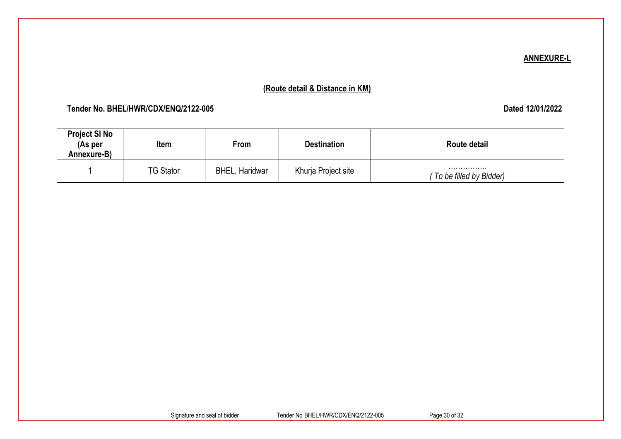### **ANNEXURE-L**

# **(Route detail & Distance in KM)**

# **Tender No. BHEL/HWR/CDX/ENQ/2122-005 Dated 12/01/2022**

| <b>Project SI No</b><br>(As per<br>Annexure-B) | Item             | From                  | <b>Destination</b>  | Route detail                |
|------------------------------------------------|------------------|-----------------------|---------------------|-----------------------------|
|                                                | <b>TG Stator</b> | <b>BHEL, Haridwar</b> | Khurja Project site | <br>To be filled by Bidder) |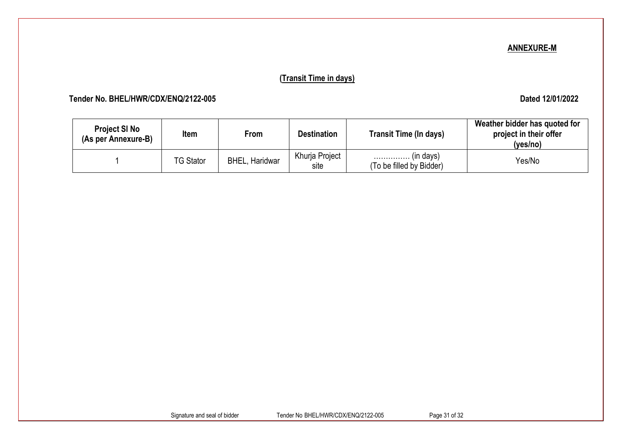### **ANNEXURE-M**

# **(Transit Time in days)**

 **Tender No. BHEL/HWR/CDX/ENQ/2122-005 Dated 12/01/2022**

| <b>Project SI No</b><br>(As per Annexure-B) | Item             | From                  | <b>Destination</b>     | <b>Transit Time (In days)</b>                  | Weather bidder has quoted for<br>project in their offer<br>(yes/no) |
|---------------------------------------------|------------------|-----------------------|------------------------|------------------------------------------------|---------------------------------------------------------------------|
|                                             | <b>TG Stator</b> | <b>BHEL, Haridwar</b> | Khurja Project<br>site | $\ldots$ (in days)<br>(To be filled by Bidder) | Yes/No                                                              |